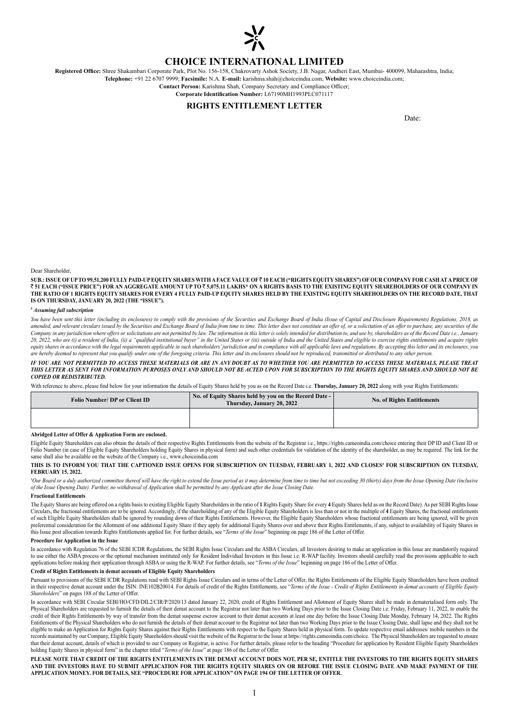

# **CHOICE INTERNATIONAL LIMITED**

**Registered Office:** Shree Shakambari Corporate Park, Plot No. 156-158, Chakrovarty Ashok Society, J.B. Nagar, Andheri East, Mumbai- 400099, Maharashtra, India; **Telephone:** +91 22 6707 9999; **Facsimile:** N.A. **E-mail:** karishma.shah@choiceindia.com; **Website:** www.choiceindia.com;

**Contact Person:** Karishma Shah, Company Secretary and Compliance Officer;

# **Corporate Identification Number:** L67190MH1993PLC071117

### **RIGHTS ENTITLEMENT LETTER**

Date:

#### Dear Shareholder,

**SUB.: ISSUE OF UP TO 99,51,200 FULLY PAID-UP EQUITY SHARES WITH A FACE VALUE OF** ` **10 EACH ("RIGHTS EQUITY SHARES") OF OUR COMPANY FOR CASH AT A PRICE OF**  ` **51 EACH ("ISSUE PRICE") FOR AN AGGREGATE AMOUNT UP TO** ` **5,075.11 LAKHS\* ON A RIGHTS BASIS TO THE EXISTING EQUITY SHAREHOLDERS OF OUR COMPANY IN THE RATIO OF 1 RIGHTS EQUITY SHARES FOR EVERY 4 FULLY PAID-UP EQUITY SHARES HELD BY THE EXISTING EQUITY SHAREHOLDERS ON THE RECORD DATE, THAT IS ON THURSDAY, JANUARY 20, 2022 (THE "ISSUE").**

#### *# Assuming full subscription*

You have been sent this letter (including its enclosures) to comply with the provisions of the Securities and Exchange Board of India (Issue of Capital and Disclosure Requirements) Regulations, 2018, as amended, and relevant circulars issued by the Securities and Exchange Board of India from time to time. This letter does not constitute an offer of, or a solicitation of an offer to purchase, any securities of the Company in any jurisdiction where offers or solicitations are not permitted by law. The information in this letter is solely intended for distribution to, and use by, shareholders as of the Record Date i.e., January *20, 2022, who are (i) a resident of India, (ii) a "qualified institutional buyer" in the United States or (iii) outside of India and the United States and eligible to exercise rights entitlements and acquire rights equity shares in accordance with the legal requirements applicable in such shareholders' jurisdiction and in compliance with all applicable laws and regulations. By accepting this letter and its enclosures, you are hereby deemed to represent that you qualify under one of the foregoing criteria. This letter and its enclosures should not be reproduced, transmitted or distributed to any other person.*

### *IF YOU ARE NOT PERMITTED TO ACCESS THESE MATERIALS OR ARE IN ANY DOUBT AS TO WHETHER YOU ARE PERMITTED TO ACCESS THESE MATERIALS, PLEASE TREAT THIS LETTER AS SENT FOR INFORMATION PURPOSES ONLY AND SHOULD NOT BE ACTED UPON FOR SUBSCRIPTION TO THE RIGHTS EQUITY SHARES AND SHOULD NOT BE COPIED OR REDISTRIBUTED.*

With reference to above, please find below for your information the details of Equity Shares held by you as on the Record Date i.e. **Thursday, January 20, 2022** along with your Rights Entitlements:

| <b>Folio Number/ DP or Client ID</b> | No. of Equity Shares held by you on the Record Date -<br>Thursday, January 20, 2022 | <b>No. of Rights Entitlements</b> |
|--------------------------------------|-------------------------------------------------------------------------------------|-----------------------------------|
|                                      |                                                                                     |                                   |

### **Abridged Letter of Offer & Application Form are enclosed.**

Eligible Equity Shareholders can also obtain the details of their respective Rights Entitlements from the website of the Registrar i.e., https://rights.cameoindia.com/choice entering their DP ID and Client ID or Folio Number (in case of Eligible Equity Shareholders holding Equity Shares in physical form) and such other credentials for validation of the identity of the shareholder, as may be required. The link for the same shall also be available on the website of the Company i.e., www.choiceindia.com

#### **THIS IS TO INFORM YOU THAT THE CAPTIONED ISSUE OPENS FOR SUBSCRIPTION ON TUESDAY, FEBRUARY 1, 2022 AND CLOSES# FOR SUBSCRIPTION ON TUESDAY, FEBRUARY 15, 2022.**

*# Our Board or a duly authorized committee thereof will have the right to extend the Issue period as it may determine from time to time but not exceeding 30 (thirty) days from the Issue Opening Date (inclusive of the Issue Opening Date). Further, no withdrawal of Application shall be permitted by any Applicant after the Issue Closing Date.*

### **Fractional Entitlements**

The Equity Shares are being offered on a rights basis to existing Eligible Equity Shareholders in the ratio of 1 Rights Equity Share for every 4 Equity Shares held as on the Record Date). As per SEBI Rights Issue Circulars, the fractional entitlements are to be ignored. Accordingly, if the shareholding of any of the Eligible Equity Shareholders is less than or not in the multiple of **4** Equity Shares, the fractional entitlements of such Eligible Equity Shareholders shall be ignored by rounding down of their Rights Entitlements. However, the Eligible Equity Shareholders whose fractional entitlements are being ignored, will be given preferential consideration for the Allotment of one additional Equity Share if they apply for additional Equity Shares over and above their Rights Entitlements, if any, subject to availability of Equity Shares in this Issue post allocation towards Rights Entitlements applied for. For further details, see "*Terms of the Issue*" beginning on page 186 of the Letter of Offer.

### **Procedure for Application in the Issue**

In accordance with Regulation 76 of the SEBI ICDR Regulations, the SEBI Rights Issue Circulars and the ASBA Circulars, all Investors desiring to make an application in this Issue are mandatorily required to use either the ASBA process or the optional mechanism instituted only for Resident Individual Investors in this Issue i.e. R-WAP facility. Investors should carefully read the provisions applicable to such applications before making their application through ASBA or using the R-WAP. For further details, see "*Terms of the Issue*" beginning on page 186 of the Letter of Offer.

### **Credit of Rights Entitlements in demat accounts of Eligible Equity Shareholders**

Pursuant to provisions of the SEBI ICDR Regulations read with SEBI Rights Issue Circulars and in terms of the Letter of Offer, the Rights Entitlements of the Eligible Equity Shareholders have been credited in their respective demat account under the ISIN: INE102B20014. For details of credit of the Rights Entitlements, see "*Terms of the Issue - Credit of Rights Entitlements in demat accounts of Eligible Equity* in their resp *Shareholders*" on pages 188 of the Letter of Offer.

In accordance with SEBI Circular SEBI/HO/CFD/DIL2/CIR/P/2020/13 dated January 22, 2020, credit of Rights Entitlement and Allotment of Equity Shares shall be made in dematerialised form only. The Physical Shareholders are requested to furnish the details of their demat account to the Registrar not later than two Working Days prior to the Issue Closing Date i.e. Friday, February 11, 2022, to enable the credit of their Rights Entitlements by way of transfer from the demat suspense escrow account to their demat accounts at least one day before the Issue Closing Date Monday, February 14, 2022. The Rights Entitlements of the Physical Shareholders who do not furnish the details of their demat account to the Registrar not later than two Working Days prior to the Issue Closing Date, shall lapse and they shall not be eligible to make an Application for Rights Equity Shares against their Rights Entitlements with respect to the Equity Shares held in physical form. To update respective email addresses/ mobile numbers in the records maintained by our Company, Eligible Equity Shareholders should visit the website of the Registrar to the Issue at https://rights.cameoindia.com/choice. The Physical Shareholders are requested to ensure that their demat account, details of which is provided to our Company or Registrar, is active. For further details, please refer to the heading "Procedure for application by Resident Eligible Equity Shareholders holding Equity Shares in physical form" in the chapter titled "*Terms of the Issue*" at page 186 of the Letter of Offer.

**PLEASE NOTE THAT CREDIT OF THE RIGHTS ENTITLEMENTS IN THE DEMAT ACCOUNT DOES NOT, PER SE, ENTITLE THE INVESTORS TO THE RIGHTS EQUITY SHARES AND THE INVESTORS HAVE TO SUBMIT APPLICATION FOR THE RIGHTS EQUITY SHARES ON OR BEFORE THE ISSUE CLOSING DATE AND MAKE PAYMENT OF THE APPLICATION MONEY. FOR DETAILS, SEE "PROCEDURE FOR APPLICATION" ON PAGE 194 OF THE LETTER OF OFFER.**